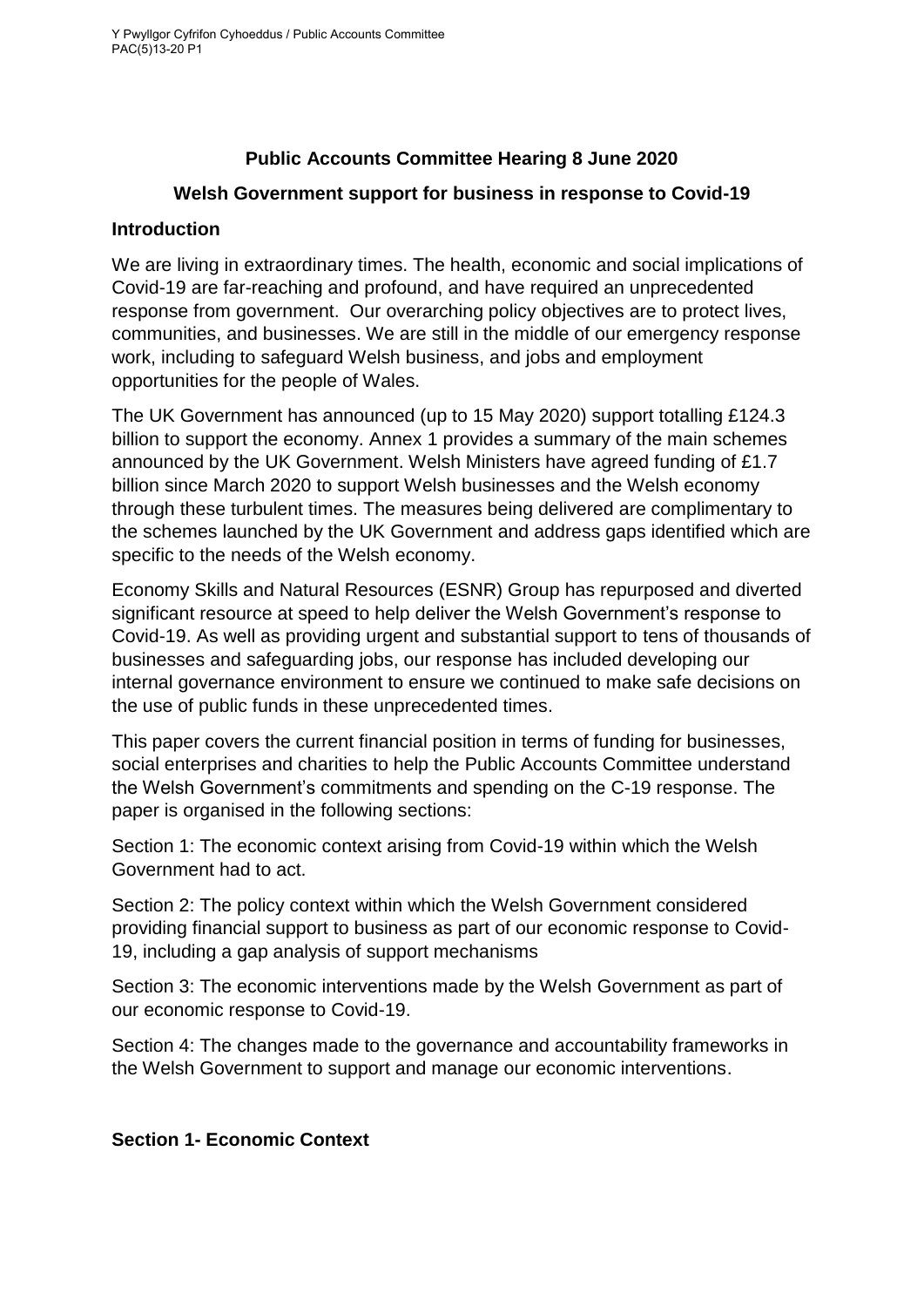# **Public Accounts Committee Hearing 8 June 2020**

#### **Welsh Government support for business in response to Covid-19**

#### **Introduction**

We are living in extraordinary times. The health, economic and social implications of Covid-19 are far-reaching and profound, and have required an unprecedented response from government. Our overarching policy objectives are to protect lives, communities, and businesses. We are still in the middle of our emergency response work, including to safeguard Welsh business, and jobs and employment opportunities for the people of Wales.

The UK Government has announced (up to 15 May 2020) support totalling £124.3 billion to support the economy. Annex 1 provides a summary of the main schemes announced by the UK Government. Welsh Ministers have agreed funding of £1.7 billion since March 2020 to support Welsh businesses and the Welsh economy through these turbulent times. The measures being delivered are complimentary to the schemes launched by the UK Government and address gaps identified which are specific to the needs of the Welsh economy.

Economy Skills and Natural Resources (ESNR) Group has repurposed and diverted significant resource at speed to help deliver the Welsh Government's response to Covid-19. As well as providing urgent and substantial support to tens of thousands of businesses and safeguarding jobs, our response has included developing our internal governance environment to ensure we continued to make safe decisions on the use of public funds in these unprecedented times.

This paper covers the current financial position in terms of funding for businesses, social enterprises and charities to help the Public Accounts Committee understand the Welsh Government's commitments and spending on the C-19 response. The paper is organised in the following sections:

Section 1: The economic context arising from Covid-19 within which the Welsh Government had to act.

Section 2: The policy context within which the Welsh Government considered providing financial support to business as part of our economic response to Covid-19, including a gap analysis of support mechanisms

Section 3: The economic interventions made by the Welsh Government as part of our economic response to Covid-19.

Section 4: The changes made to the governance and accountability frameworks in the Welsh Government to support and manage our economic interventions.

## **Section 1- Economic Context**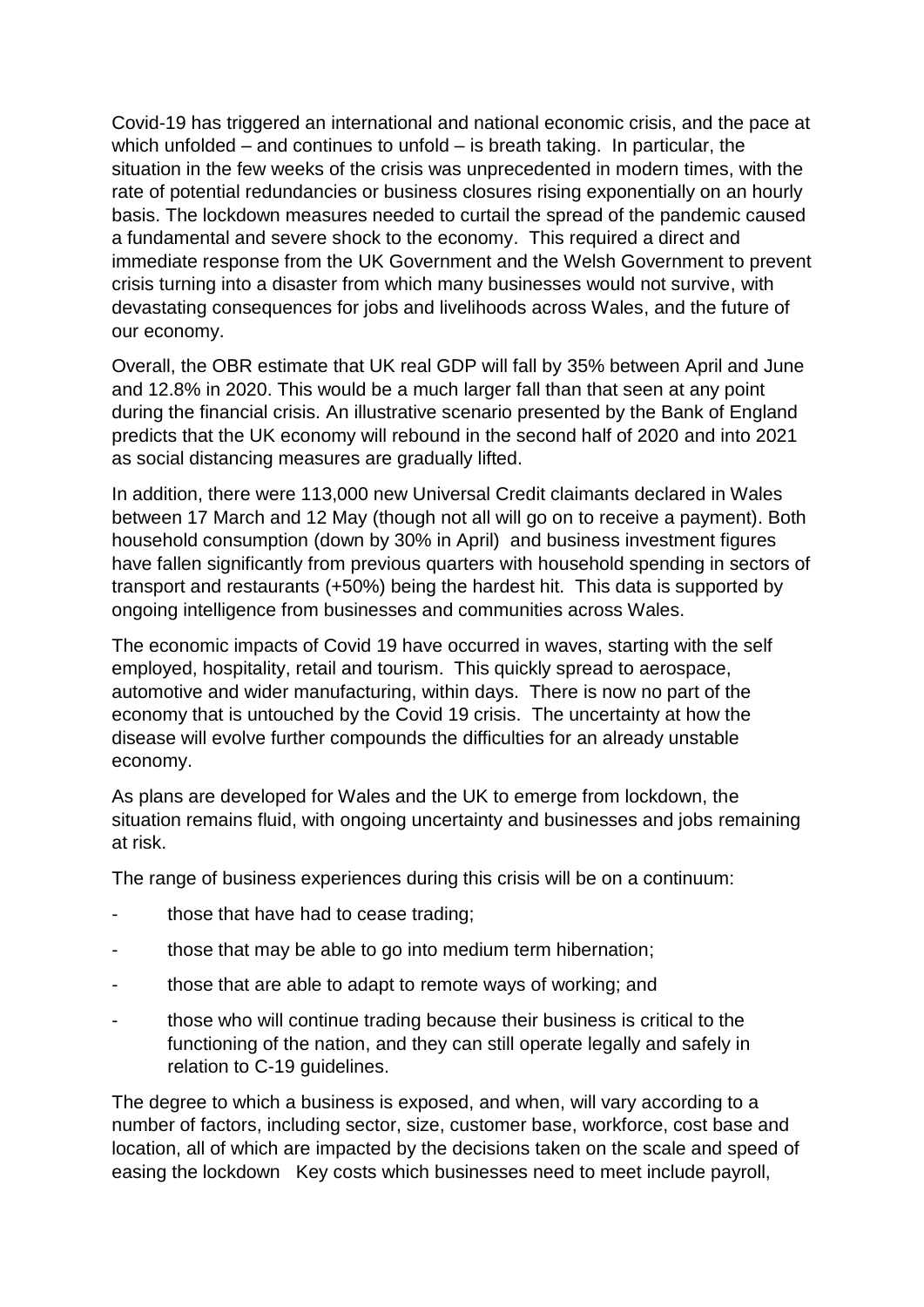Covid-19 has triggered an international and national economic crisis, and the pace at which unfolded – and continues to unfold – is breath taking. In particular, the situation in the few weeks of the crisis was unprecedented in modern times, with the rate of potential redundancies or business closures rising exponentially on an hourly basis. The lockdown measures needed to curtail the spread of the pandemic caused a fundamental and severe shock to the economy. This required a direct and immediate response from the UK Government and the Welsh Government to prevent crisis turning into a disaster from which many businesses would not survive, with devastating consequences for jobs and livelihoods across Wales, and the future of our economy.

Overall, the OBR estimate that UK real GDP will fall by 35% between April and June and 12.8% in 2020. This would be a much larger fall than that seen at any point during the financial crisis. An illustrative scenario presented by the Bank of England predicts that the UK economy will rebound in the second half of 2020 and into 2021 as social distancing measures are gradually lifted.

In addition, there were 113,000 new Universal Credit claimants declared in Wales between 17 March and 12 May (though not all will go on to receive a payment). Both household consumption (down by 30% in April) and business investment figures have fallen significantly from previous quarters with household spending in sectors of transport and restaurants (+50%) being the hardest hit. This data is supported by ongoing intelligence from businesses and communities across Wales.

The economic impacts of Covid 19 have occurred in waves, starting with the self employed, hospitality, retail and tourism. This quickly spread to aerospace, automotive and wider manufacturing, within days. There is now no part of the economy that is untouched by the Covid 19 crisis. The uncertainty at how the disease will evolve further compounds the difficulties for an already unstable economy.

As plans are developed for Wales and the UK to emerge from lockdown, the situation remains fluid, with ongoing uncertainty and businesses and jobs remaining at risk.

The range of business experiences during this crisis will be on a continuum:

- those that have had to cease trading;
- those that may be able to go into medium term hibernation;
- those that are able to adapt to remote ways of working; and
- those who will continue trading because their business is critical to the functioning of the nation, and they can still operate legally and safely in relation to C-19 guidelines.

The degree to which a business is exposed, and when, will vary according to a number of factors, including sector, size, customer base, workforce, cost base and location, all of which are impacted by the decisions taken on the scale and speed of easing the lockdown Key costs which businesses need to meet include payroll,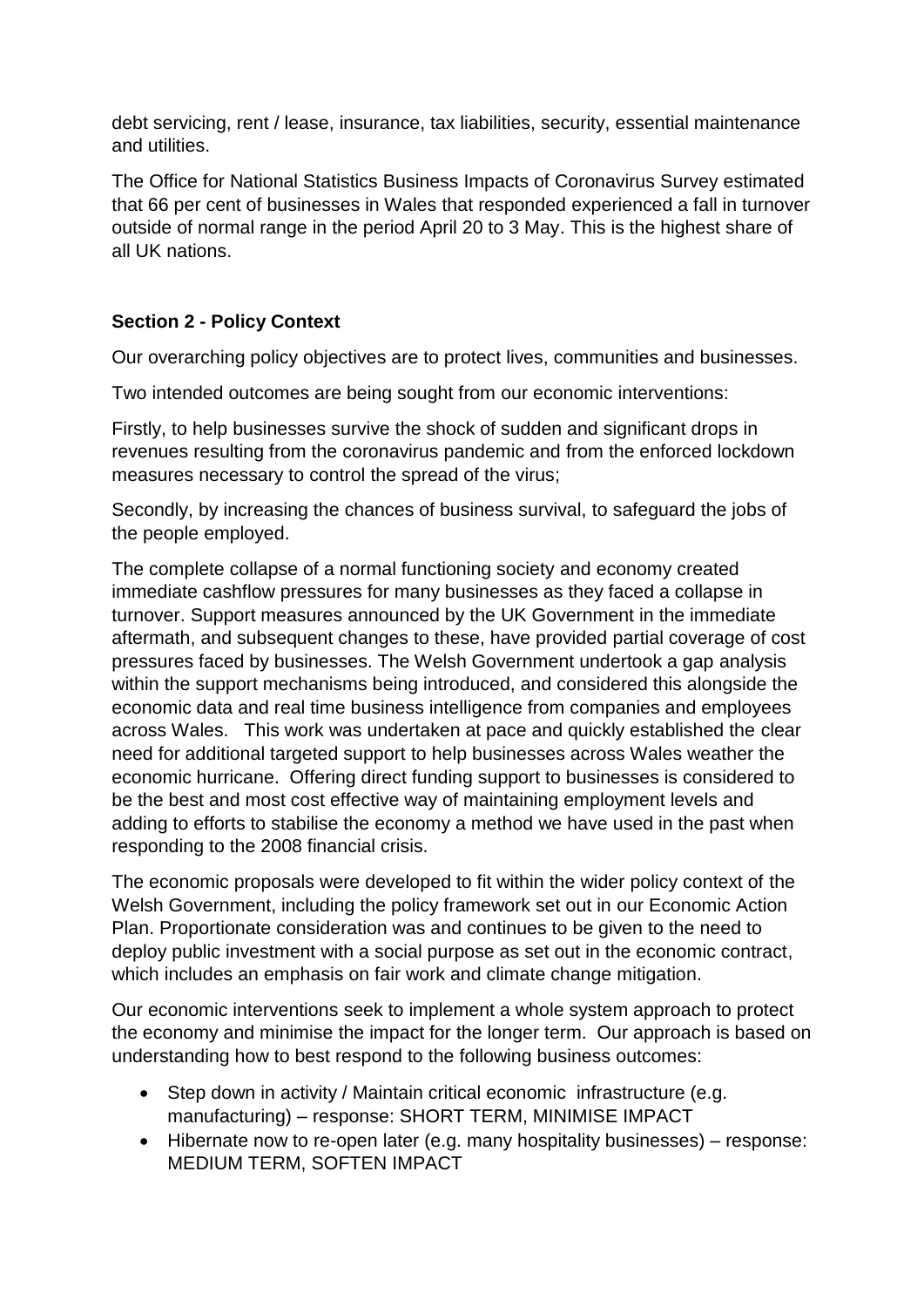debt servicing, rent / lease, insurance, tax liabilities, security, essential maintenance and utilities.

The Office for National Statistics Business Impacts of Coronavirus Survey estimated that 66 per cent of businesses in Wales that responded experienced a fall in turnover outside of normal range in the period April 20 to 3 May. This is the highest share of all UK nations.

# **Section 2 - Policy Context**

Our overarching policy objectives are to protect lives, communities and businesses.

Two intended outcomes are being sought from our economic interventions:

Firstly, to help businesses survive the shock of sudden and significant drops in revenues resulting from the coronavirus pandemic and from the enforced lockdown measures necessary to control the spread of the virus;

Secondly, by increasing the chances of business survival, to safeguard the jobs of the people employed.

The complete collapse of a normal functioning society and economy created immediate cashflow pressures for many businesses as they faced a collapse in turnover. Support measures announced by the UK Government in the immediate aftermath, and subsequent changes to these, have provided partial coverage of cost pressures faced by businesses. The Welsh Government undertook a gap analysis within the support mechanisms being introduced, and considered this alongside the economic data and real time business intelligence from companies and employees across Wales. This work was undertaken at pace and quickly established the clear need for additional targeted support to help businesses across Wales weather the economic hurricane. Offering direct funding support to businesses is considered to be the best and most cost effective way of maintaining employment levels and adding to efforts to stabilise the economy a method we have used in the past when responding to the 2008 financial crisis.

The economic proposals were developed to fit within the wider policy context of the Welsh Government, including the policy framework set out in our Economic Action Plan. Proportionate consideration was and continues to be given to the need to deploy public investment with a social purpose as set out in the economic contract, which includes an emphasis on fair work and climate change mitigation.

Our economic interventions seek to implement a whole system approach to protect the economy and minimise the impact for the longer term. Our approach is based on understanding how to best respond to the following business outcomes:

- Step down in activity / Maintain critical economic infrastructure (e.g. manufacturing) – response: SHORT TERM, MINIMISE IMPACT
- Hibernate now to re-open later (e.g. many hospitality businesses) response: MEDIUM TERM, SOFTEN IMPACT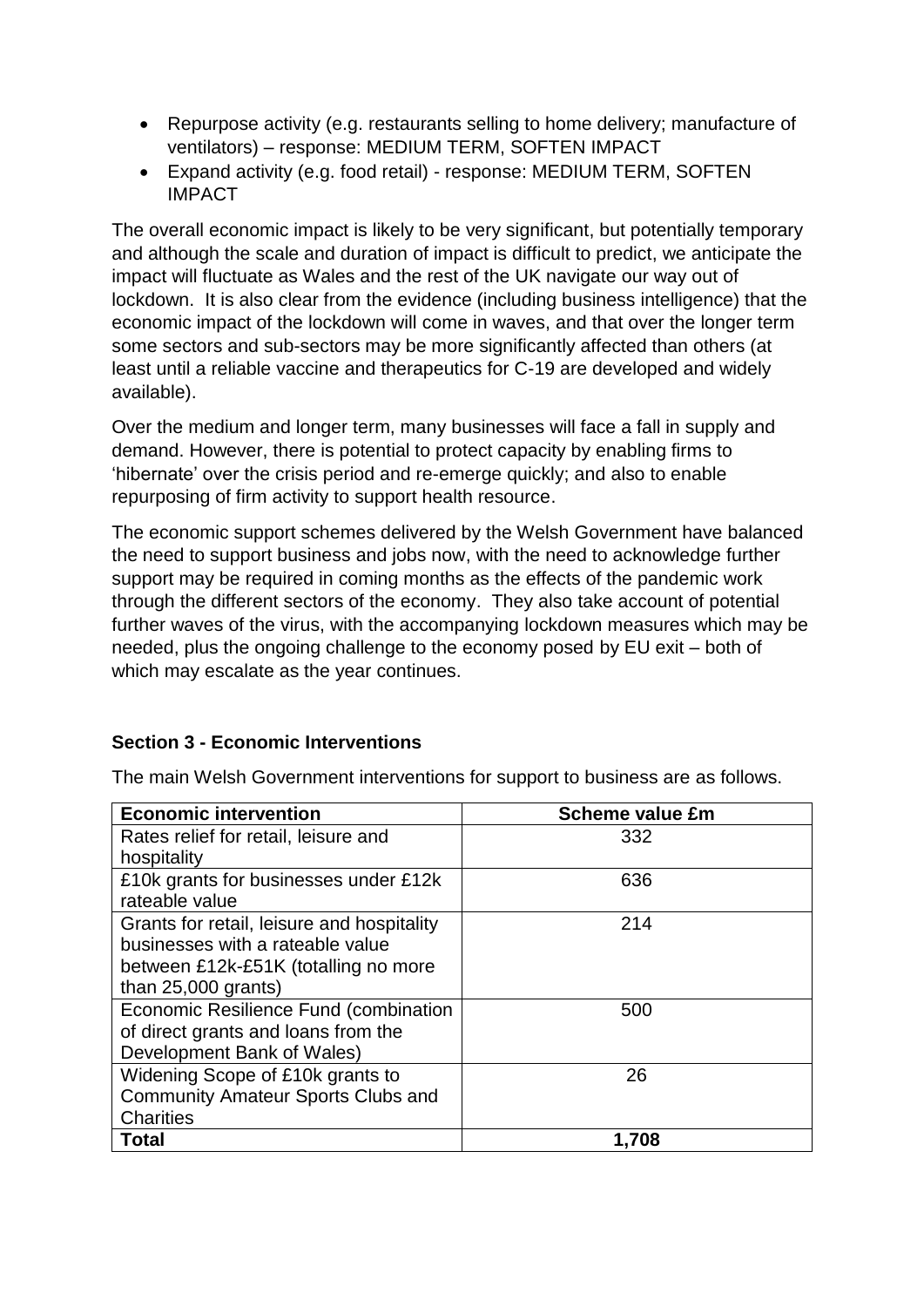- Repurpose activity (e.g. restaurants selling to home delivery; manufacture of ventilators) – response: MEDIUM TERM, SOFTEN IMPACT
- Expand activity (e.g. food retail) response: MEDIUM TERM, SOFTEN IMPACT

The overall economic impact is likely to be very significant, but potentially temporary and although the scale and duration of impact is difficult to predict, we anticipate the impact will fluctuate as Wales and the rest of the UK navigate our way out of lockdown. It is also clear from the evidence (including business intelligence) that the economic impact of the lockdown will come in waves, and that over the longer term some sectors and sub-sectors may be more significantly affected than others (at least until a reliable vaccine and therapeutics for C-19 are developed and widely available).

Over the medium and longer term, many businesses will face a fall in supply and demand. However, there is potential to protect capacity by enabling firms to 'hibernate' over the crisis period and re-emerge quickly; and also to enable repurposing of firm activity to support health resource.

The economic support schemes delivered by the Welsh Government have balanced the need to support business and jobs now, with the need to acknowledge further support may be required in coming months as the effects of the pandemic work through the different sectors of the economy. They also take account of potential further waves of the virus, with the accompanying lockdown measures which may be needed, plus the ongoing challenge to the economy posed by EU exit – both of which may escalate as the year continues.

## **Section 3 - Economic Interventions**

| <b>Economic intervention</b>               | <b>Scheme value £m</b> |
|--------------------------------------------|------------------------|
| Rates relief for retail, leisure and       | 332                    |
| hospitality                                |                        |
| £10k grants for businesses under £12k      | 636                    |
| rateable value                             |                        |
| Grants for retail, leisure and hospitality | 214                    |
| businesses with a rateable value           |                        |
| between £12k-£51K (totalling no more       |                        |
| than $25,000$ grants)                      |                        |
| Economic Resilience Fund (combination      | 500                    |
| of direct grants and loans from the        |                        |
| Development Bank of Wales)                 |                        |
| Widening Scope of £10k grants to           | 26                     |
| <b>Community Amateur Sports Clubs and</b>  |                        |
| <b>Charities</b>                           |                        |
| <b>Total</b>                               | 1,708                  |

The main Welsh Government interventions for support to business are as follows.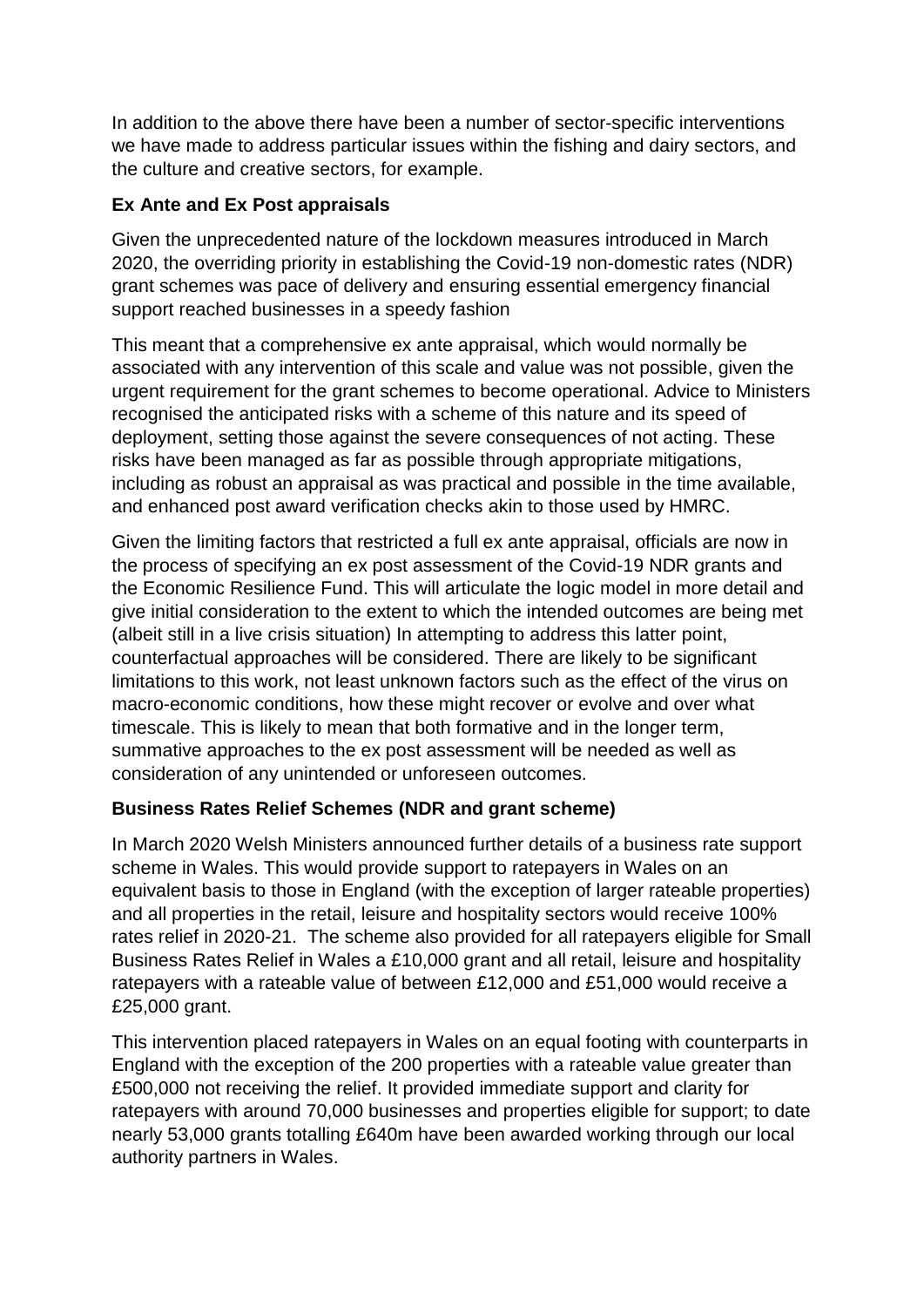In addition to the above there have been a number of sector-specific interventions we have made to address particular issues within the fishing and dairy sectors, and the culture and creative sectors, for example.

# **Ex Ante and Ex Post appraisals**

Given the unprecedented nature of the lockdown measures introduced in March 2020, the overriding priority in establishing the Covid-19 non-domestic rates (NDR) grant schemes was pace of delivery and ensuring essential emergency financial support reached businesses in a speedy fashion

This meant that a comprehensive ex ante appraisal, which would normally be associated with any intervention of this scale and value was not possible, given the urgent requirement for the grant schemes to become operational. Advice to Ministers recognised the anticipated risks with a scheme of this nature and its speed of deployment, setting those against the severe consequences of not acting. These risks have been managed as far as possible through appropriate mitigations, including as robust an appraisal as was practical and possible in the time available, and enhanced post award verification checks akin to those used by HMRC.

Given the limiting factors that restricted a full ex ante appraisal, officials are now in the process of specifying an ex post assessment of the Covid-19 NDR grants and the Economic Resilience Fund. This will articulate the logic model in more detail and give initial consideration to the extent to which the intended outcomes are being met (albeit still in a live crisis situation) In attempting to address this latter point, counterfactual approaches will be considered. There are likely to be significant limitations to this work, not least unknown factors such as the effect of the virus on macro-economic conditions, how these might recover or evolve and over what timescale. This is likely to mean that both formative and in the longer term, summative approaches to the ex post assessment will be needed as well as consideration of any unintended or unforeseen outcomes.

## **Business Rates Relief Schemes (NDR and grant scheme)**

In March 2020 Welsh Ministers announced further details of a business rate support scheme in Wales. This would provide support to ratepayers in Wales on an equivalent basis to those in England (with the exception of larger rateable properties) and all properties in the retail, leisure and hospitality sectors would receive 100% rates relief in 2020-21. The scheme also provided for all ratepayers eligible for Small Business Rates Relief in Wales a £10,000 grant and all retail, leisure and hospitality ratepayers with a rateable value of between £12,000 and £51,000 would receive a £25,000 grant.

This intervention placed ratepayers in Wales on an equal footing with counterparts in England with the exception of the 200 properties with a rateable value greater than £500,000 not receiving the relief. It provided immediate support and clarity for ratepayers with around 70,000 businesses and properties eligible for support; to date nearly 53,000 grants totalling £640m have been awarded working through our local authority partners in Wales.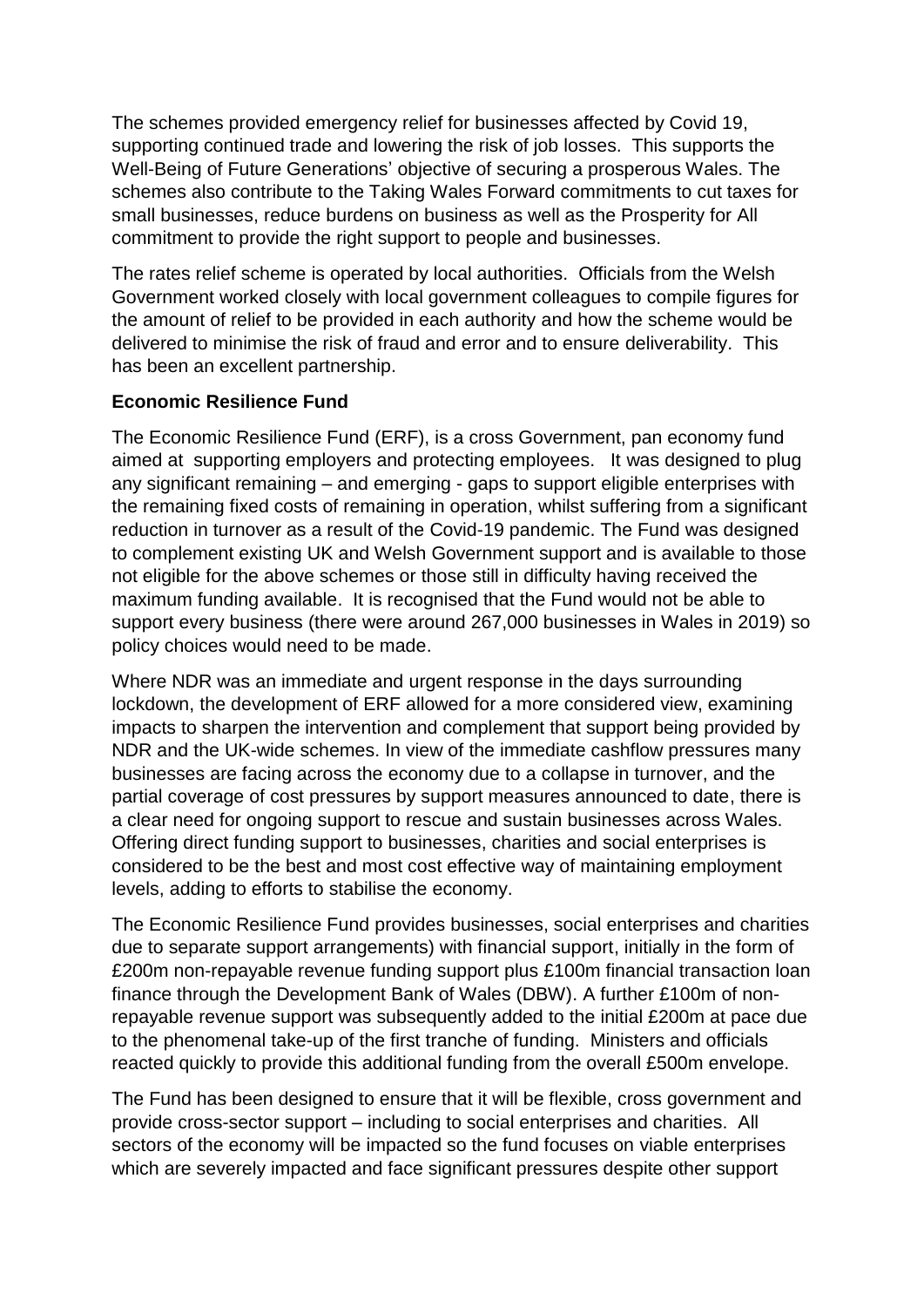The schemes provided emergency relief for businesses affected by Covid 19, supporting continued trade and lowering the risk of job losses. This supports the Well-Being of Future Generations' objective of securing a prosperous Wales. The schemes also contribute to the Taking Wales Forward commitments to cut taxes for small businesses, reduce burdens on business as well as the Prosperity for All commitment to provide the right support to people and businesses.

The rates relief scheme is operated by local authorities. Officials from the Welsh Government worked closely with local government colleagues to compile figures for the amount of relief to be provided in each authority and how the scheme would be delivered to minimise the risk of fraud and error and to ensure deliverability. This has been an excellent partnership.

## **Economic Resilience Fund**

The Economic Resilience Fund (ERF), is a cross Government, pan economy fund aimed at supporting employers and protecting employees. It was designed to plug any significant remaining – and emerging - gaps to support eligible enterprises with the remaining fixed costs of remaining in operation, whilst suffering from a significant reduction in turnover as a result of the Covid-19 pandemic. The Fund was designed to complement existing UK and Welsh Government support and is available to those not eligible for the above schemes or those still in difficulty having received the maximum funding available. It is recognised that the Fund would not be able to support every business (there were around 267,000 businesses in Wales in 2019) so policy choices would need to be made.

Where NDR was an immediate and urgent response in the days surrounding lockdown, the development of ERF allowed for a more considered view, examining impacts to sharpen the intervention and complement that support being provided by NDR and the UK-wide schemes. In view of the immediate cashflow pressures many businesses are facing across the economy due to a collapse in turnover, and the partial coverage of cost pressures by support measures announced to date, there is a clear need for ongoing support to rescue and sustain businesses across Wales. Offering direct funding support to businesses, charities and social enterprises is considered to be the best and most cost effective way of maintaining employment levels, adding to efforts to stabilise the economy.

The Economic Resilience Fund provides businesses, social enterprises and charities due to separate support arrangements) with financial support, initially in the form of £200m non-repayable revenue funding support plus £100m financial transaction loan finance through the Development Bank of Wales (DBW). A further £100m of nonrepayable revenue support was subsequently added to the initial £200m at pace due to the phenomenal take-up of the first tranche of funding. Ministers and officials reacted quickly to provide this additional funding from the overall £500m envelope.

The Fund has been designed to ensure that it will be flexible, cross government and provide cross-sector support – including to social enterprises and charities. All sectors of the economy will be impacted so the fund focuses on viable enterprises which are severely impacted and face significant pressures despite other support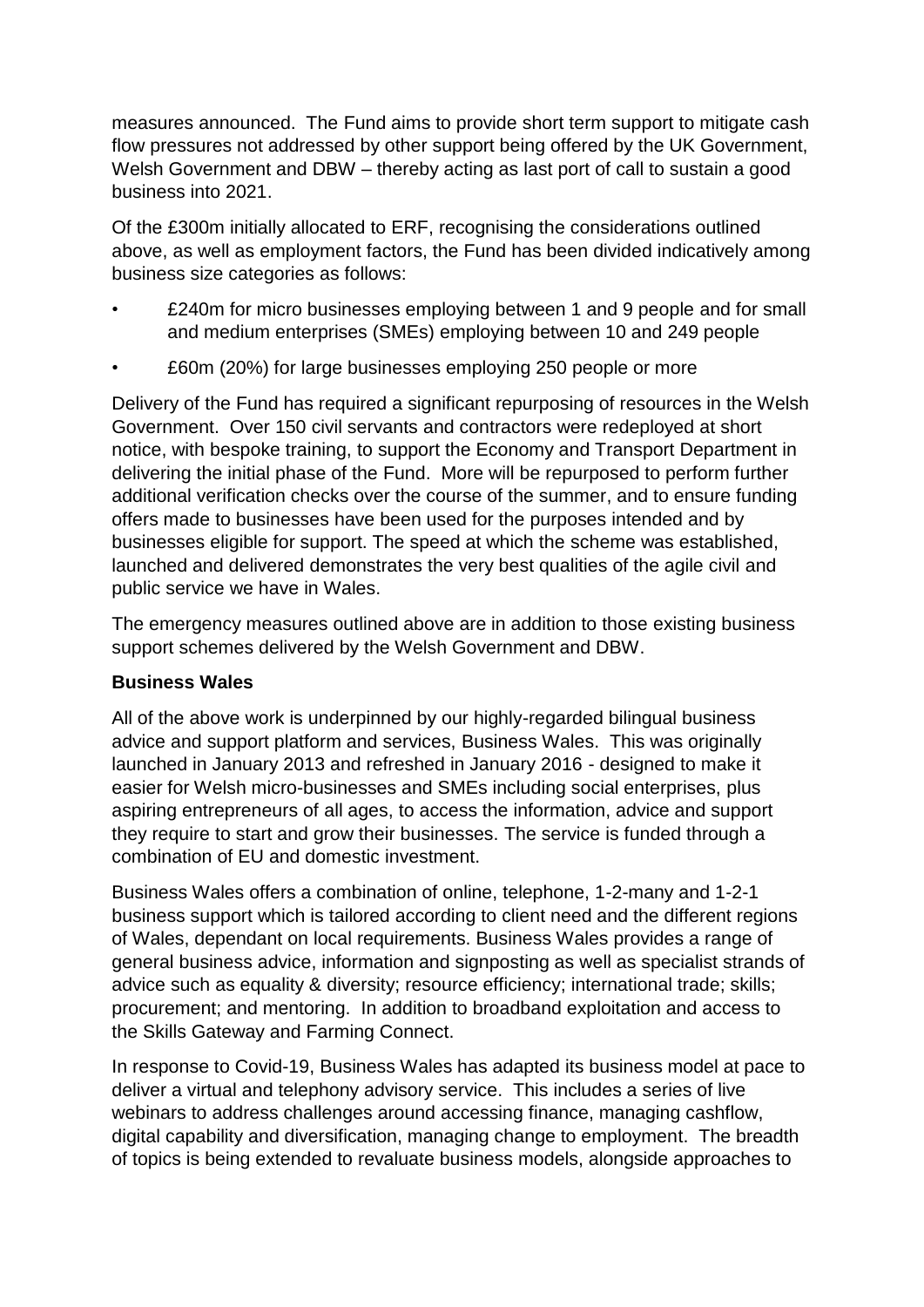measures announced. The Fund aims to provide short term support to mitigate cash flow pressures not addressed by other support being offered by the UK Government, Welsh Government and DBW – thereby acting as last port of call to sustain a good business into 2021.

Of the £300m initially allocated to ERF, recognising the considerations outlined above, as well as employment factors, the Fund has been divided indicatively among business size categories as follows:

- £240m for micro businesses employing between 1 and 9 people and for small and medium enterprises (SMEs) employing between 10 and 249 people
- £60m (20%) for large businesses employing 250 people or more

Delivery of the Fund has required a significant repurposing of resources in the Welsh Government. Over 150 civil servants and contractors were redeployed at short notice, with bespoke training, to support the Economy and Transport Department in delivering the initial phase of the Fund. More will be repurposed to perform further additional verification checks over the course of the summer, and to ensure funding offers made to businesses have been used for the purposes intended and by businesses eligible for support. The speed at which the scheme was established, launched and delivered demonstrates the very best qualities of the agile civil and public service we have in Wales.

The emergency measures outlined above are in addition to those existing business support schemes delivered by the Welsh Government and DBW.

## **Business Wales**

All of the above work is underpinned by our highly-regarded bilingual business advice and support platform and services, Business Wales. This was originally launched in January 2013 and refreshed in January 2016 - designed to make it easier for Welsh micro-businesses and SMEs including social enterprises, plus aspiring entrepreneurs of all ages, to access the information, advice and support they require to start and grow their businesses. The service is funded through a combination of EU and domestic investment.

Business Wales offers a combination of online, telephone, 1-2-many and 1-2-1 business support which is tailored according to client need and the different regions of Wales, dependant on local requirements. Business Wales provides a range of general business advice, information and signposting as well as specialist strands of advice such as equality & diversity; resource efficiency; international trade; skills; procurement; and mentoring. In addition to broadband exploitation and access to the Skills Gateway and Farming Connect.

In response to Covid-19, Business Wales has adapted its business model at pace to deliver a virtual and telephony advisory service. This includes a series of live webinars to address challenges around accessing finance, managing cashflow, digital capability and diversification, managing change to employment. The breadth of topics is being extended to revaluate business models, alongside approaches to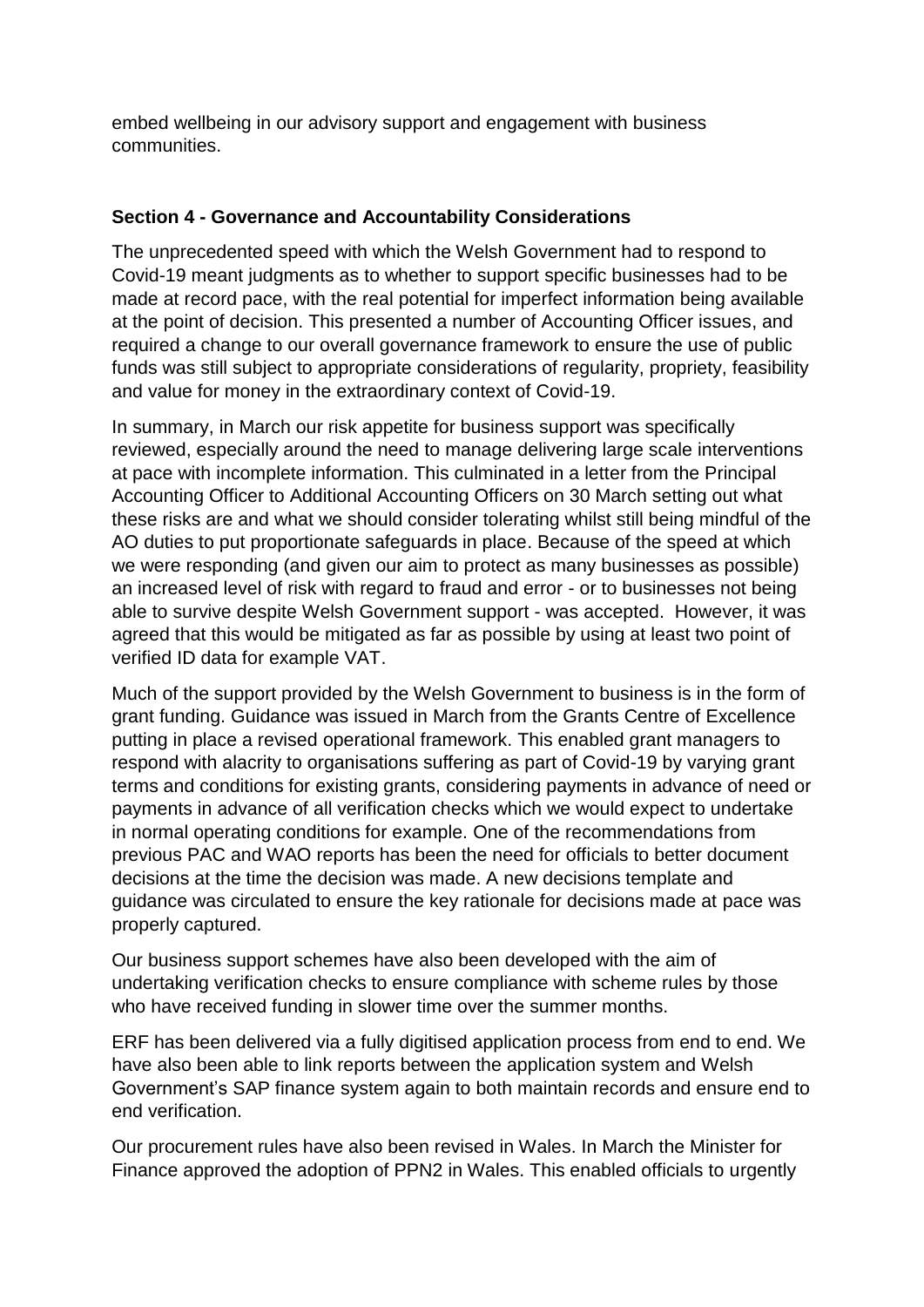embed wellbeing in our advisory support and engagement with business communities.

## **Section 4 - Governance and Accountability Considerations**

The unprecedented speed with which the Welsh Government had to respond to Covid-19 meant judgments as to whether to support specific businesses had to be made at record pace, with the real potential for imperfect information being available at the point of decision. This presented a number of Accounting Officer issues, and required a change to our overall governance framework to ensure the use of public funds was still subject to appropriate considerations of regularity, propriety, feasibility and value for money in the extraordinary context of Covid-19.

In summary, in March our risk appetite for business support was specifically reviewed, especially around the need to manage delivering large scale interventions at pace with incomplete information. This culminated in a letter from the Principal Accounting Officer to Additional Accounting Officers on 30 March setting out what these risks are and what we should consider tolerating whilst still being mindful of the AO duties to put proportionate safeguards in place. Because of the speed at which we were responding (and given our aim to protect as many businesses as possible) an increased level of risk with regard to fraud and error - or to businesses not being able to survive despite Welsh Government support - was accepted. However, it was agreed that this would be mitigated as far as possible by using at least two point of verified ID data for example VAT.

Much of the support provided by the Welsh Government to business is in the form of grant funding. Guidance was issued in March from the Grants Centre of Excellence putting in place a revised operational framework. This enabled grant managers to respond with alacrity to organisations suffering as part of Covid-19 by varying grant terms and conditions for existing grants, considering payments in advance of need or payments in advance of all verification checks which we would expect to undertake in normal operating conditions for example. One of the recommendations from previous PAC and WAO reports has been the need for officials to better document decisions at the time the decision was made. A new decisions template and guidance was circulated to ensure the key rationale for decisions made at pace was properly captured.

Our business support schemes have also been developed with the aim of undertaking verification checks to ensure compliance with scheme rules by those who have received funding in slower time over the summer months.

ERF has been delivered via a fully digitised application process from end to end. We have also been able to link reports between the application system and Welsh Government's SAP finance system again to both maintain records and ensure end to end verification.

Our procurement rules have also been revised in Wales. In March the Minister for Finance approved the adoption of PPN2 in Wales. This enabled officials to urgently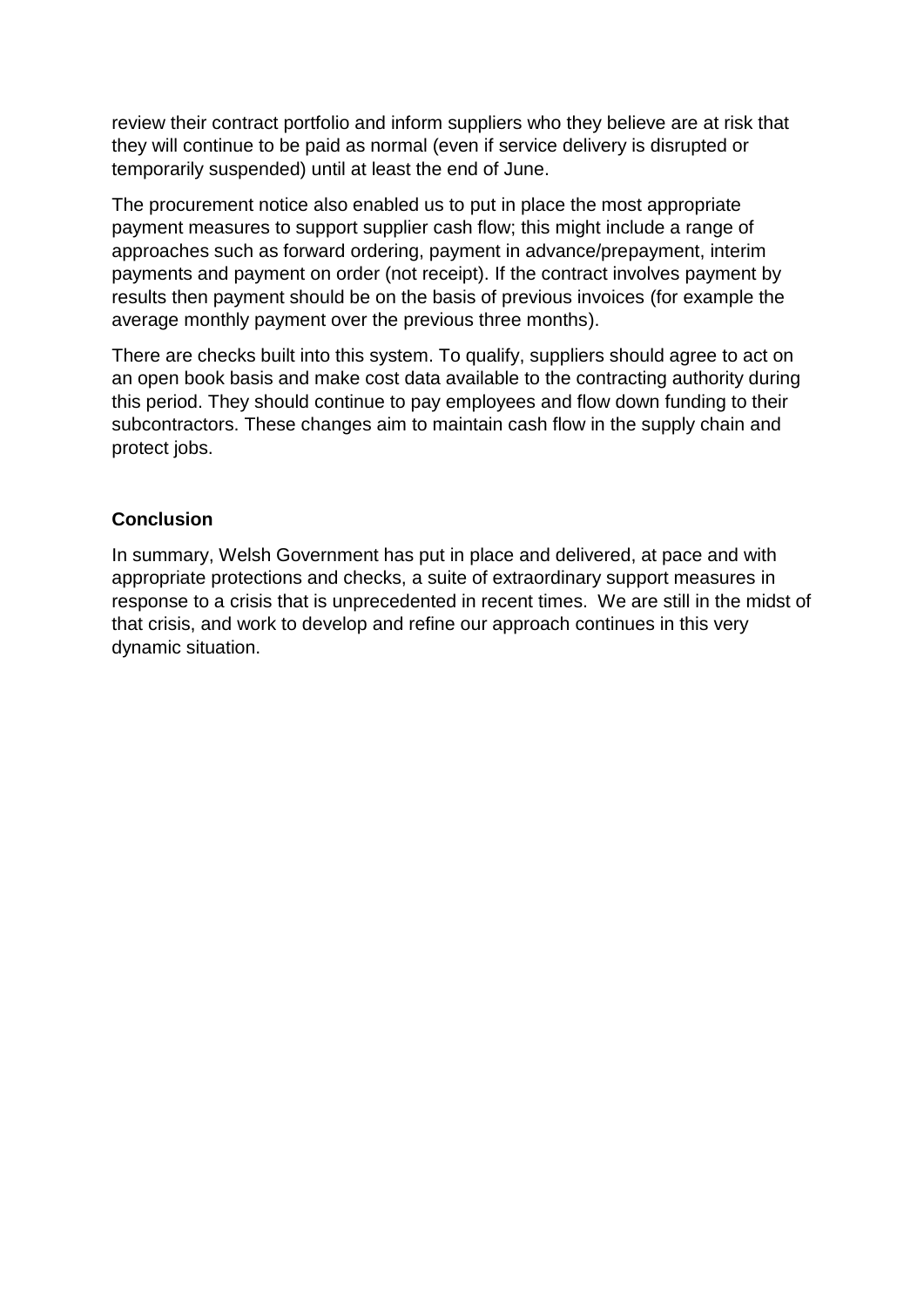review their contract portfolio and inform suppliers who they believe are at risk that they will continue to be paid as normal (even if service delivery is disrupted or temporarily suspended) until at least the end of June.

The procurement notice also enabled us to put in place the most appropriate payment measures to support supplier cash flow; this might include a range of approaches such as forward ordering, payment in advance/prepayment, interim payments and payment on order (not receipt). If the contract involves payment by results then payment should be on the basis of previous invoices (for example the average monthly payment over the previous three months).

There are checks built into this system. To qualify, suppliers should agree to act on an open book basis and make cost data available to the contracting authority during this period. They should continue to pay employees and flow down funding to their subcontractors. These changes aim to maintain cash flow in the supply chain and protect jobs.

## **Conclusion**

In summary, Welsh Government has put in place and delivered, at pace and with appropriate protections and checks, a suite of extraordinary support measures in response to a crisis that is unprecedented in recent times. We are still in the midst of that crisis, and work to develop and refine our approach continues in this very dynamic situation.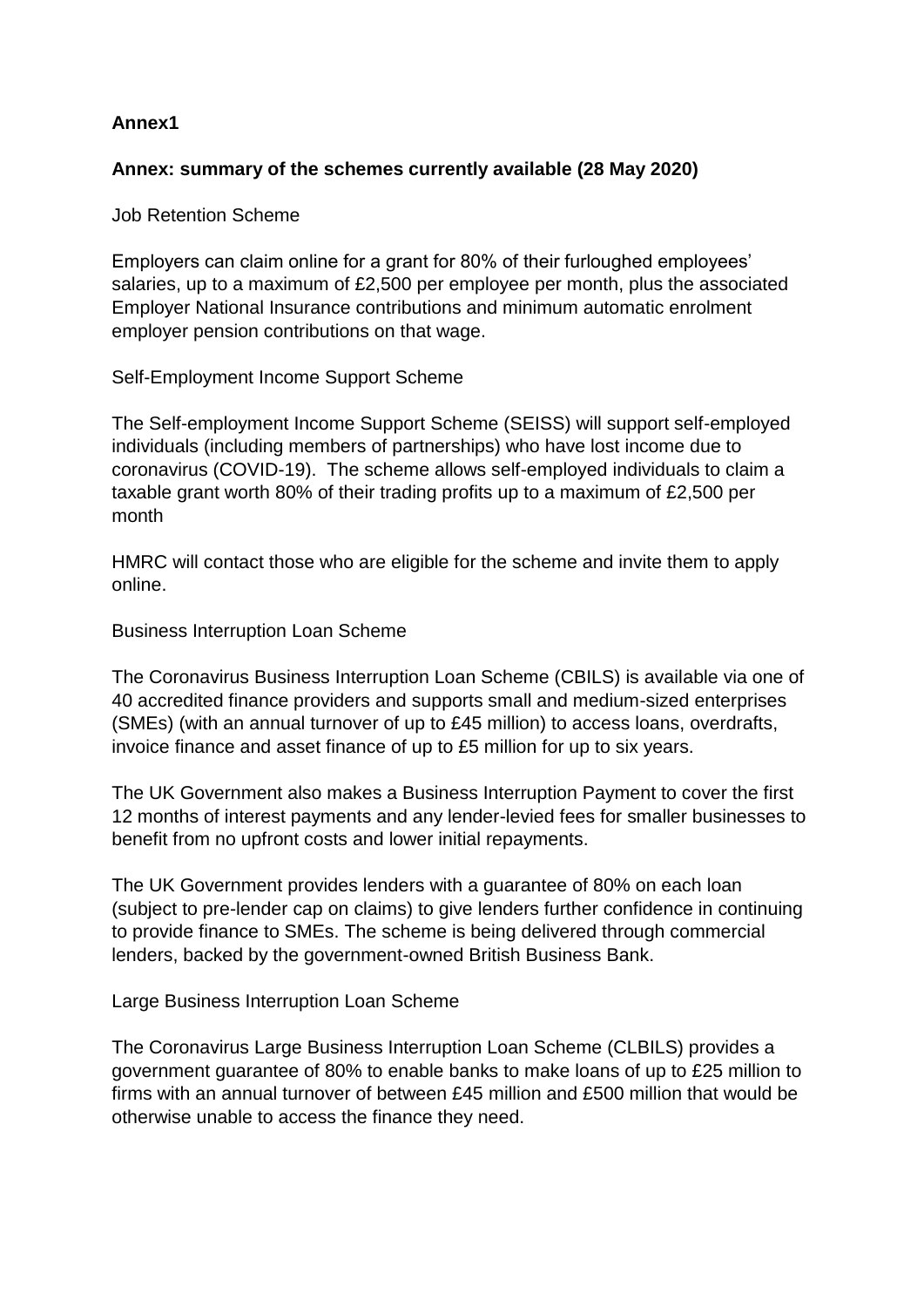# **Annex1**

# **Annex: summary of the schemes currently available (28 May 2020)**

Job Retention Scheme

Employers can claim online for a grant for 80% of their furloughed employees' salaries, up to a maximum of £2,500 per employee per month, plus the associated Employer National Insurance contributions and minimum automatic enrolment employer pension contributions on that wage.

Self-Employment Income Support Scheme

The Self-employment Income Support Scheme (SEISS) will support self-employed individuals (including members of partnerships) who have lost income due to coronavirus (COVID-19). The scheme allows self-employed individuals to claim a taxable grant worth 80% of their trading profits up to a maximum of £2,500 per month

HMRC will contact those who are eligible for the scheme and invite them to apply online.

Business Interruption Loan Scheme

The Coronavirus Business Interruption Loan Scheme (CBILS) is available via one of 40 accredited finance providers and supports small and medium-sized enterprises (SMEs) (with an annual turnover of up to £45 million) to access loans, overdrafts, invoice finance and asset finance of up to £5 million for up to six years.

The UK Government also makes a Business Interruption Payment to cover the first 12 months of interest payments and any lender-levied fees for smaller businesses to benefit from no upfront costs and lower initial repayments.

The UK Government provides lenders with a guarantee of 80% on each loan (subject to pre-lender cap on claims) to give lenders further confidence in continuing to provide finance to SMEs. The scheme is being delivered through commercial lenders, backed by the government-owned British Business Bank.

Large Business Interruption Loan Scheme

The Coronavirus Large Business Interruption Loan Scheme (CLBILS) provides a government guarantee of 80% to enable banks to make loans of up to £25 million to firms with an annual turnover of between £45 million and £500 million that would be otherwise unable to access the finance they need.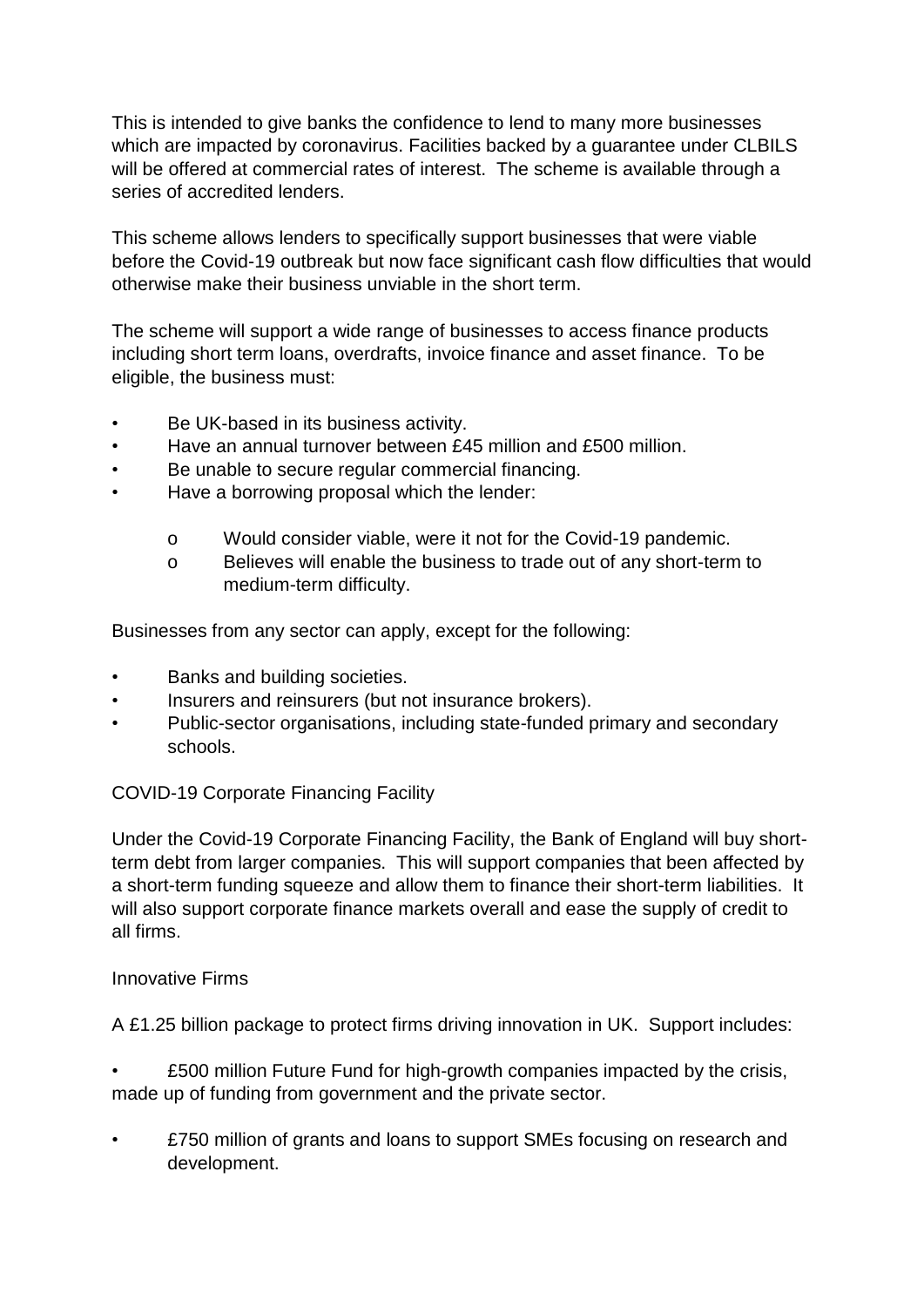This is intended to give banks the confidence to lend to many more businesses which are impacted by coronavirus. Facilities backed by a quarantee under CLBILS will be offered at commercial rates of interest. The scheme is available through a series of accredited lenders.

This scheme allows lenders to specifically support businesses that were viable before the Covid-19 outbreak but now face significant cash flow difficulties that would otherwise make their business unviable in the short term.

The scheme will support a wide range of businesses to access finance products including short term loans, overdrafts, invoice finance and asset finance. To be eligible, the business must:

- Be UK-based in its business activity.
- Have an annual turnover between £45 million and £500 million.
- Be unable to secure regular commercial financing.
- Have a borrowing proposal which the lender:
	- o Would consider viable, were it not for the Covid-19 pandemic.
	- o Believes will enable the business to trade out of any short-term to medium-term difficulty.

Businesses from any sector can apply, except for the following:

- Banks and building societies.
- Insurers and reinsurers (but not insurance brokers).
- Public-sector organisations, including state-funded primary and secondary schools.

#### COVID-19 Corporate Financing Facility

Under the Covid-19 Corporate Financing Facility, the Bank of England will buy shortterm debt from larger companies. This will support companies that been affected by a short-term funding squeeze and allow them to finance their short-term liabilities. It will also support corporate finance markets overall and ease the supply of credit to all firms.

#### Innovative Firms

A £1.25 billion package to protect firms driving innovation in UK. Support includes:

• £500 million Future Fund for high-growth companies impacted by the crisis, made up of funding from government and the private sector.

• £750 million of grants and loans to support SMEs focusing on research and development.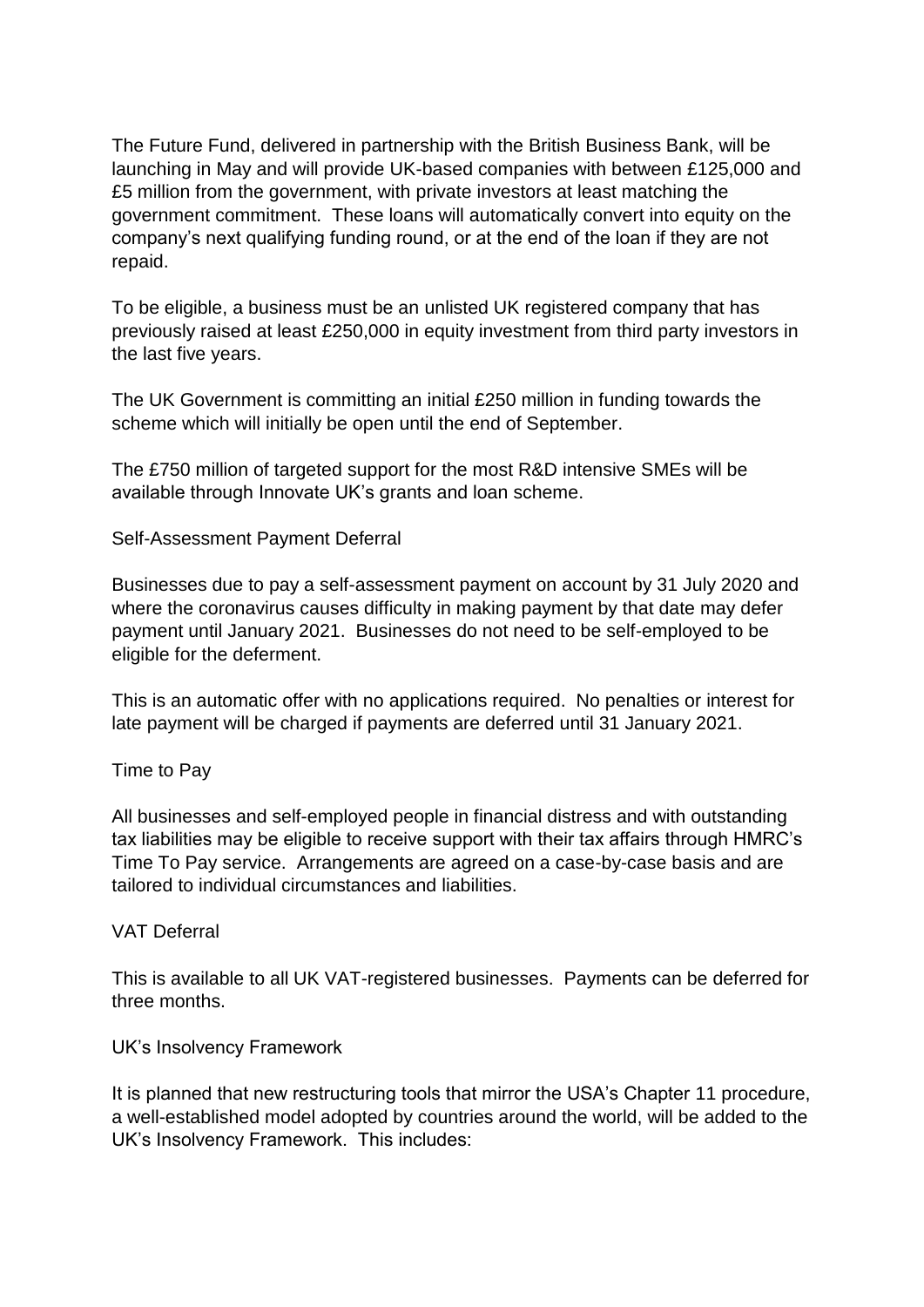The Future Fund, delivered in partnership with the British Business Bank, will be launching in May and will provide UK-based companies with between £125,000 and £5 million from the government, with private investors at least matching the government commitment. These loans will automatically convert into equity on the company's next qualifying funding round, or at the end of the loan if they are not repaid.

To be eligible, a business must be an unlisted UK registered company that has previously raised at least £250,000 in equity investment from third party investors in the last five years.

The UK Government is committing an initial £250 million in funding towards the scheme which will initially be open until the end of September.

The £750 million of targeted support for the most R&D intensive SMEs will be available through Innovate UK's grants and loan scheme.

Self-Assessment Payment Deferral

Businesses due to pay a self-assessment payment on account by 31 July 2020 and where the coronavirus causes difficulty in making payment by that date may defer payment until January 2021. Businesses do not need to be self-employed to be eligible for the deferment.

This is an automatic offer with no applications required. No penalties or interest for late payment will be charged if payments are deferred until 31 January 2021.

Time to Pay

All businesses and self-employed people in financial distress and with outstanding tax liabilities may be eligible to receive support with their tax affairs through HMRC's Time To Pay service. Arrangements are agreed on a case-by-case basis and are tailored to individual circumstances and liabilities.

#### VAT Deferral

This is available to all UK VAT-registered businesses. Payments can be deferred for three months.

UK's Insolvency Framework

It is planned that new restructuring tools that mirror the USA's Chapter 11 procedure, a well-established model adopted by countries around the world, will be added to the UK's Insolvency Framework. This includes: